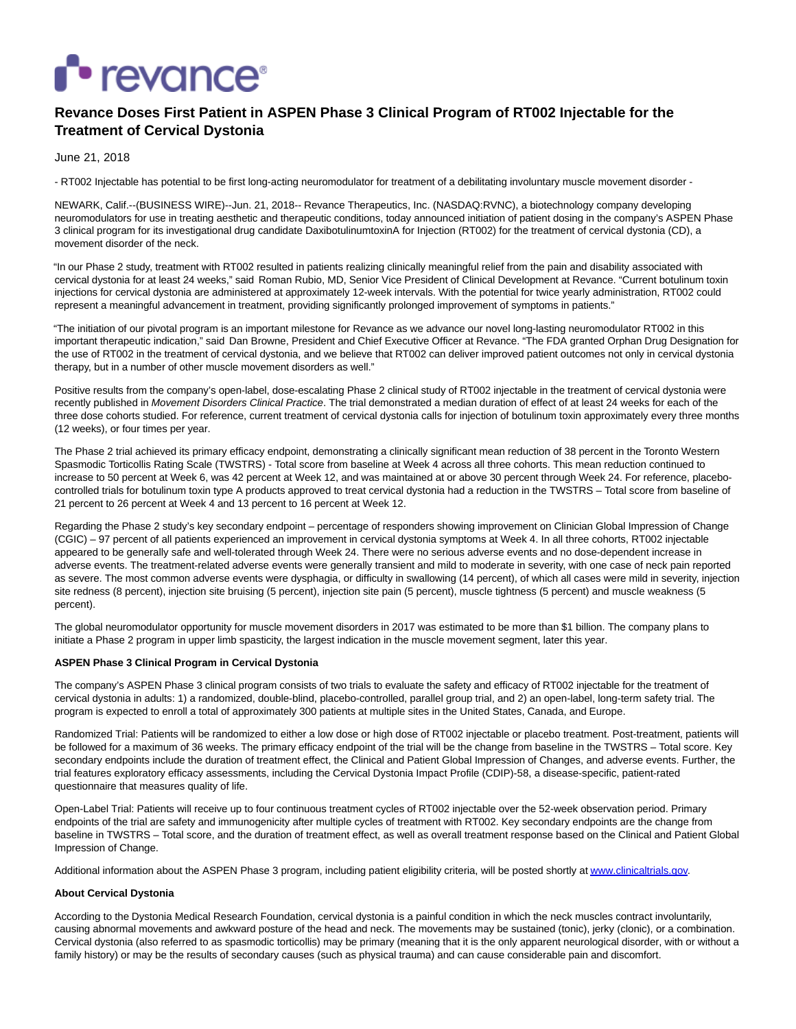

# **Revance Doses First Patient in ASPEN Phase 3 Clinical Program of RT002 Injectable for the Treatment of Cervical Dystonia**

June 21, 2018

- RT002 Injectable has potential to be first long-acting neuromodulator for treatment of a debilitating involuntary muscle movement disorder -

NEWARK, Calif.--(BUSINESS WIRE)--Jun. 21, 2018-- Revance Therapeutics, Inc. (NASDAQ:RVNC), a biotechnology company developing neuromodulators for use in treating aesthetic and therapeutic conditions, today announced initiation of patient dosing in the company's ASPEN Phase 3 clinical program for its investigational drug candidate DaxibotulinumtoxinA for Injection (RT002) for the treatment of cervical dystonia (CD), a movement disorder of the neck.

"In our Phase 2 study, treatment with RT002 resulted in patients realizing clinically meaningful relief from the pain and disability associated with cervical dystonia for at least 24 weeks," said Roman Rubio, MD, Senior Vice President of Clinical Development at Revance. "Current botulinum toxin injections for cervical dystonia are administered at approximately 12-week intervals. With the potential for twice yearly administration, RT002 could represent a meaningful advancement in treatment, providing significantly prolonged improvement of symptoms in patients."

"The initiation of our pivotal program is an important milestone for Revance as we advance our novel long-lasting neuromodulator RT002 in this important therapeutic indication," said Dan Browne, President and Chief Executive Officer at Revance. "The FDA granted Orphan Drug Designation for the use of RT002 in the treatment of cervical dystonia, and we believe that RT002 can deliver improved patient outcomes not only in cervical dystonia therapy, but in a number of other muscle movement disorders as well."

Positive results from the company's open-label, dose-escalating Phase 2 clinical study of RT002 injectable in the treatment of cervical dystonia were recently published in Movement Disorders Clinical Practice. The trial demonstrated a median duration of effect of at least 24 weeks for each of the three dose cohorts studied. For reference, current treatment of cervical dystonia calls for injection of botulinum toxin approximately every three months (12 weeks), or four times per year.

The Phase 2 trial achieved its primary efficacy endpoint, demonstrating a clinically significant mean reduction of 38 percent in the Toronto Western Spasmodic Torticollis Rating Scale (TWSTRS) - Total score from baseline at Week 4 across all three cohorts. This mean reduction continued to increase to 50 percent at Week 6, was 42 percent at Week 12, and was maintained at or above 30 percent through Week 24. For reference, placebocontrolled trials for botulinum toxin type A products approved to treat cervical dystonia had a reduction in the TWSTRS – Total score from baseline of 21 percent to 26 percent at Week 4 and 13 percent to 16 percent at Week 12.

Regarding the Phase 2 study's key secondary endpoint – percentage of responders showing improvement on Clinician Global Impression of Change (CGIC) – 97 percent of all patients experienced an improvement in cervical dystonia symptoms at Week 4. In all three cohorts, RT002 injectable appeared to be generally safe and well-tolerated through Week 24. There were no serious adverse events and no dose-dependent increase in adverse events. The treatment-related adverse events were generally transient and mild to moderate in severity, with one case of neck pain reported as severe. The most common adverse events were dysphagia, or difficulty in swallowing (14 percent), of which all cases were mild in severity, injection site redness (8 percent), injection site bruising (5 percent), injection site pain (5 percent), muscle tightness (5 percent) and muscle weakness (5 percent).

The global neuromodulator opportunity for muscle movement disorders in 2017 was estimated to be more than \$1 billion. The company plans to initiate a Phase 2 program in upper limb spasticity, the largest indication in the muscle movement segment, later this year.

## **ASPEN Phase 3 Clinical Program in Cervical Dystonia**

The company's ASPEN Phase 3 clinical program consists of two trials to evaluate the safety and efficacy of RT002 injectable for the treatment of cervical dystonia in adults: 1) a randomized, double-blind, placebo-controlled, parallel group trial, and 2) an open-label, long-term safety trial. The program is expected to enroll a total of approximately 300 patients at multiple sites in the United States, Canada, and Europe.

Randomized Trial: Patients will be randomized to either a low dose or high dose of RT002 injectable or placebo treatment. Post-treatment, patients will be followed for a maximum of 36 weeks. The primary efficacy endpoint of the trial will be the change from baseline in the TWSTRS – Total score. Key secondary endpoints include the duration of treatment effect, the Clinical and Patient Global Impression of Changes, and adverse events. Further, the trial features exploratory efficacy assessments, including the Cervical Dystonia Impact Profile (CDIP)-58, a disease-specific, patient-rated questionnaire that measures quality of life.

Open-Label Trial: Patients will receive up to four continuous treatment cycles of RT002 injectable over the 52-week observation period. Primary endpoints of the trial are safety and immunogenicity after multiple cycles of treatment with RT002. Key secondary endpoints are the change from baseline in TWSTRS – Total score, and the duration of treatment effect, as well as overall treatment response based on the Clinical and Patient Global Impression of Change.

Additional information about the ASPEN Phase 3 program, including patient eligibility criteria, will be posted shortly a[t www.clinicaltrials.gov.](http://cts.businesswire.com/ct/CT?id=smartlink&url=http%3A%2F%2Fwww.clinicaltrials.gov&esheet=51826063&newsitemid=20180621006037&lan=en-US&anchor=www.clinicaltrials.gov&index=1&md5=d0c36e947eb4a2580fb7deb9e46c9b6e)

## **About Cervical Dystonia**

According to the Dystonia Medical Research Foundation, cervical dystonia is a painful condition in which the neck muscles contract involuntarily, causing abnormal movements and awkward posture of the head and neck. The movements may be sustained (tonic), jerky (clonic), or a combination. Cervical dystonia (also referred to as spasmodic torticollis) may be primary (meaning that it is the only apparent neurological disorder, with or without a family history) or may be the results of secondary causes (such as physical trauma) and can cause considerable pain and discomfort.